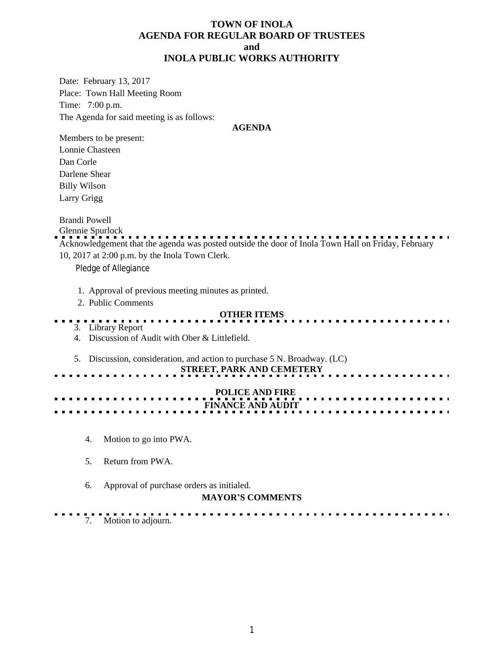### **TOWN OF INOLA AGENDA FOR REGULAR BOARD OF TRUSTEES and INOLA PUBLIC WORKS AUTHORITY**

Date: February 13, 2017 Place: Town Hall Meeting Room Time: 7:00 p.m. The Agenda for said meeting is as follows:

#### **AGENDA**

Members to be present: Lonnie Chasteen Dan Corle Darlene Shear Billy Wilson Larry Grigg

Brandi Powell

Glennie Spurlock Acknowledgement that the agenda was posted outside the door of Inola Town Hall on Friday, February 10, 2017 at 2:00 p.m. by the Inola Town Clerk. Pledge of Allegiance 1. Approval of previous meeting minutes as printed. 2. Public Comments **OTHER ITEMS** . . . . . 3. Library Report

4. Discussion of Audit with Ober & Littlefield.

5. Discussion, consideration, and action to purchase 5 N. Broadway. (LC)

# **STREET, PARK AND CEMETERY**

 **POLICE AND FIRE FINANCE AND AUDIT**

- 4. Motion to go into PWA.
- 5. Return from PWA.
- 6. Approval of purchase orders as initialed.

#### **MAYOR'S COMMENTS**

. . . . . . . . . . . . . 7. Motion to adjourn.